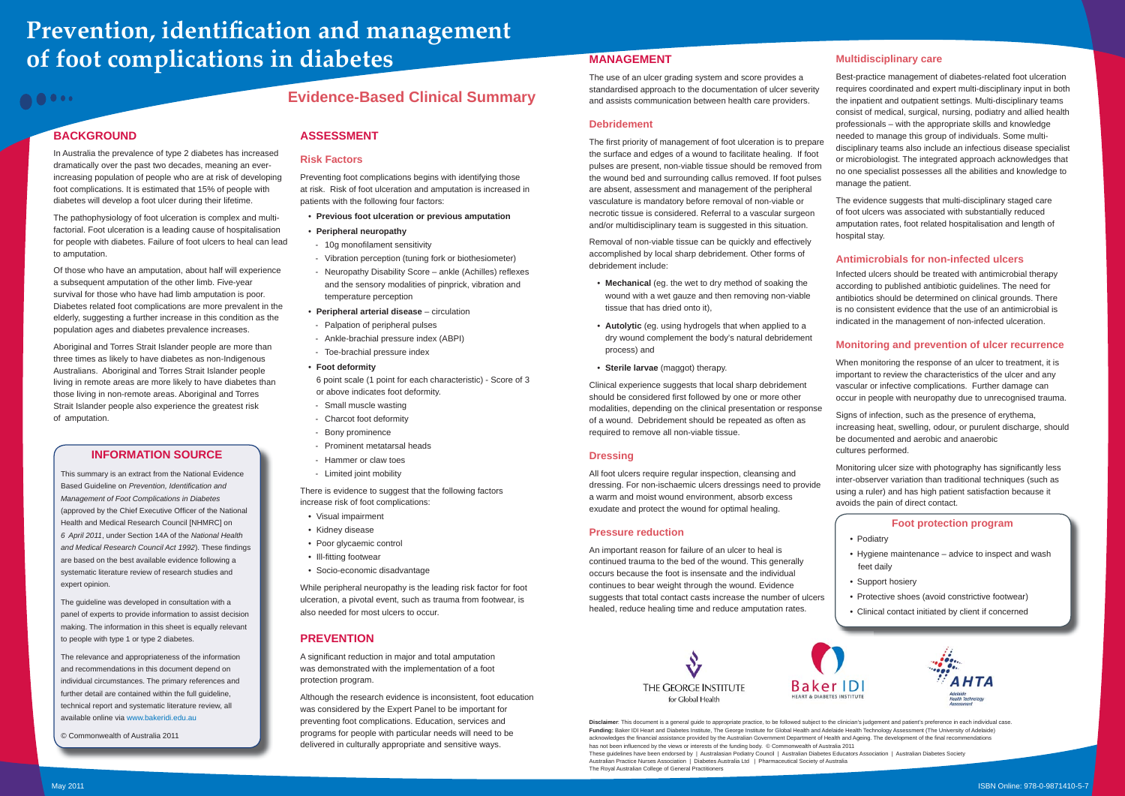## **Evidence-Based Clinical Summary**

## **BACKGROUND**

# **Prevention, identification and management of foot complications in diabetes**

00000

In Australia the prevalence of type 2 diabetes has increased dramatically over the past two decades, meaning an everincreasing population of people who are at risk of developing foot complications. It is estimated that 15% of people with diabetes will develop a foot ulcer during their lifetime.

The pathophysiology of foot ulceration is complex and multifactorial. Foot ulceration is a leading cause of hospitalisation for people with diabetes. Failure of foot ulcers to heal can lead to amputation.

Of those who have an amputation, about half will experience a subsequent amputation of the other limb. Five-year survival for those who have had limb amputation is poor. Diabetes related foot complications are more prevalent in the elderly, suggesting a further increase in this condition as the population ages and diabetes prevalence increases.

Aboriginal and Torres Strait Islander people are more than three times as likely to have diabetes as non-Indigenous Australians. Aboriginal and Torres Strait Islander people living in remote areas are more likely to have diabetes than those living in non-remote areas. Aboriginal and Torres Strait Islander people also experience the greatest risk of amputation.

## **ASSESSMENT**

## **Risk Factors**

A significant reduction in major and total amputation was demonstrated with the implementation of a foot protection program.

Preventing foot complications begins with identifying those at risk. Risk of foot ulceration and amputation is increased in patients with the following four factors:

- **Previous foot ulceration or previous amputation**
- **Peripheral neuropathy**
- 10g monofilament sensitivity
- Vibration perception (tuning fork or biothesiometer)
- Neuropathy Disability Score ankle (Achilles) reflexes and the sensory modalities of pinprick, vibration and temperature perception
- Peripheral arterial disease circulation
- Palpation of peripheral pulses
- Ankle-brachial pressure index (ABPI)
- Toe-brachial pressure index
- **Foot deformity**

6 point scale (1 point for each characteristic) - Score of 3 or above indicates foot deformity.

- Small muscle wasting
- Charcot foot deformity
- Bony prominence
- Prominent metatarsal heads
- Hammer or claw toes
- Limited joint mobility

There is evidence to suggest that the following factors increase risk of foot complications:

The first priority of management of foot ulceration is to prepare the surface and edges of a wound to facilitate healing. If foot pulses are present, non-viable tissue should be removed from the wound bed and surrounding callus removed. If foot pulses are absent, assessment and management of the peripheral vasculature is mandatory before removal of non-viable or necrotic tissue is considered. Referral to a vascular surgeon and/or multidisciplinary team is suggested in this situation.

- Visual impairment
- Kidney disease
- Poor glycaemic control
- Ill-fitting footwear
- Socio-economic disadvantage

While peripheral neuropathy is the leading risk factor for foot ulceration, a pivotal event, such as trauma from footwear, is also needed for most ulcers to occur.

## **PREVENTION**

All foot ulcers require requiar inspection, cleansing and dressing. For non-ischaemic ulcers dressings need to provide a warm and moist wound environment, absorb excess exudate and protect the wound for optimal healing.

Although the research evidence is inconsistent, foot education was considered by the Expert Panel to be important for preventing foot complications. Education, services and programs for people with particular needs will need to be delivered in culturally appropriate and sensitive ways.

**Disclaimer**: This document is a general guide to appropriate practice, to be followed subject to the clinician's judgement and patient's preference in each individual case. Funding: Baker IDI Heart and Diabetes Institute, The George Institute for Global Health and Adelaide Health Technology Assessment (The University of Adelaide) acknowledges the financial assistance provided by the Australian Government Department of Health and Ageing. The development of the final recommendations has not been influenced by the views or interests of the funding body. © Commonwealth of Australia 2011 These guidelines have been endorsed by | Australasian Podiatry Council | Australian Diabetes Educators Association | Australian Diabetes Society Australian Practice Nurses Association | Diabetes Australia Ltd | Pharmaceutical Society of Australia The Royal Australian College of General Practitioners

Monitoring ulcer size with photography has significantly less inter-observer variation than traditional techniques (such as using a ruler) and has high patient satisfaction because it avoids the pain of direct contact.



## **MANAGEMENT**

The use of an ulcer grading system and score provides a standardised approach to the documentation of ulcer severity and assists communication between health care providers.

## **Debridement**

Removal of non-viable tissue can be quickly and effectively accomplished by local sharp debridement. Other forms of debridement include:

- Mechanical (eg. the wet to dry method of soaking the wound with a wet gauze and then removing non-viable tissue that has dried onto it),
- Autolytic (eg. using hydrogels that when applied to a dry wound complement the body's natural debridement process) and
- Sterile larvae (maggot) therapy.

Clinical experience suggests that local sharp debridement should be considered first followed by one or more other modalities, depending on the clinical presentation or response of a wound. Debridement should be repeated as often as required to remove all non-viable tissue.

## **Dressing**

#### **Pressure reduction**

An important reason for failure of an ulcer to heal is continued trauma to the bed of the wound. This generally occurs because the foot is insensate and the individual continues to bear weight through the wound. Evidence suggests that total contact casts increase the number of ulcers healed, reduce healing time and reduce amputation rates.





### **Multidisciplinary care**

Best-practice management of diabetes-related foot ulceration requires coordinated and expert multi-disciplinary input in both the inpatient and outpatient settings. Multi-disciplinary teams consist of medical, surgical, nursing, podiatry and allied health professionals – with the appropriate skills and knowledge needed to manage this group of individuals. Some multidisciplinary teams also include an infectious disease specialist or microbiologist. The integrated approach acknowledges that no one specialist possesses all the abilities and knowledge to manage the patient.

The evidence suggests that multi-disciplinary staged care of foot ulcers was associated with substantially reduced amputation rates, foot related hospitalisation and length of hospital stay.

## **Antimicrobials for non-infected ulcers**

Infected ulcers should be treated with antimicrobial therapy according to published antibiotic guidelines. The need for antibiotics should be determined on clinical grounds. There is no consistent evidence that the use of an antimicrobial is indicated in the management of non-infected ulceration.

## **Monitoring and prevention of ulcer recurrence**

When monitoring the response of an ulcer to treatment, it is important to review the characteristics of the ulcer and any vascular or infective complications. Further damage can occur in people with neuropathy due to unrecognised trauma. Signs of infection, such as the presence of erythema, increasing heat, swelling, odour, or purulent discharge, should be documented and aerobic and anaerobic cultures performed.

## **Foot protection program**

- Podiatry
- Hygiene maintenance advice to inspect and wash feet daily
- Support hosiery
- Protective shoes (avoid constrictive footwear)
- Clinical contact initiated by client if concerned



## **INFORMATION SOURCE**

This summary is an extract from the National Evidence Based Guideline on *Prevention, Identification and Management of Foot Complications in Diabetes* (approved by the Chief Executive Officer of the National Health and Medical Research Council [NHMRC] on *6 April 2011*, under Section 14A of the *National Health*  and Medical Research Council Act 1992). These findings are based on the best available evidence following a systematic literature review of research studies and expert opinion.

The guideline was developed in consultation with a panel of experts to provide information to assist decision making. The information in this sheet is equally relevant to people with type 1 or type 2 diabetes.

The relevance and appropriateness of the information and recommendations in this document depend on individual circumstances. The primary references and further detail are contained within the full guideline, technical report and systematic literature review, all available online via www.bakeridi.edu.au

© Commonwealth of Australia 2011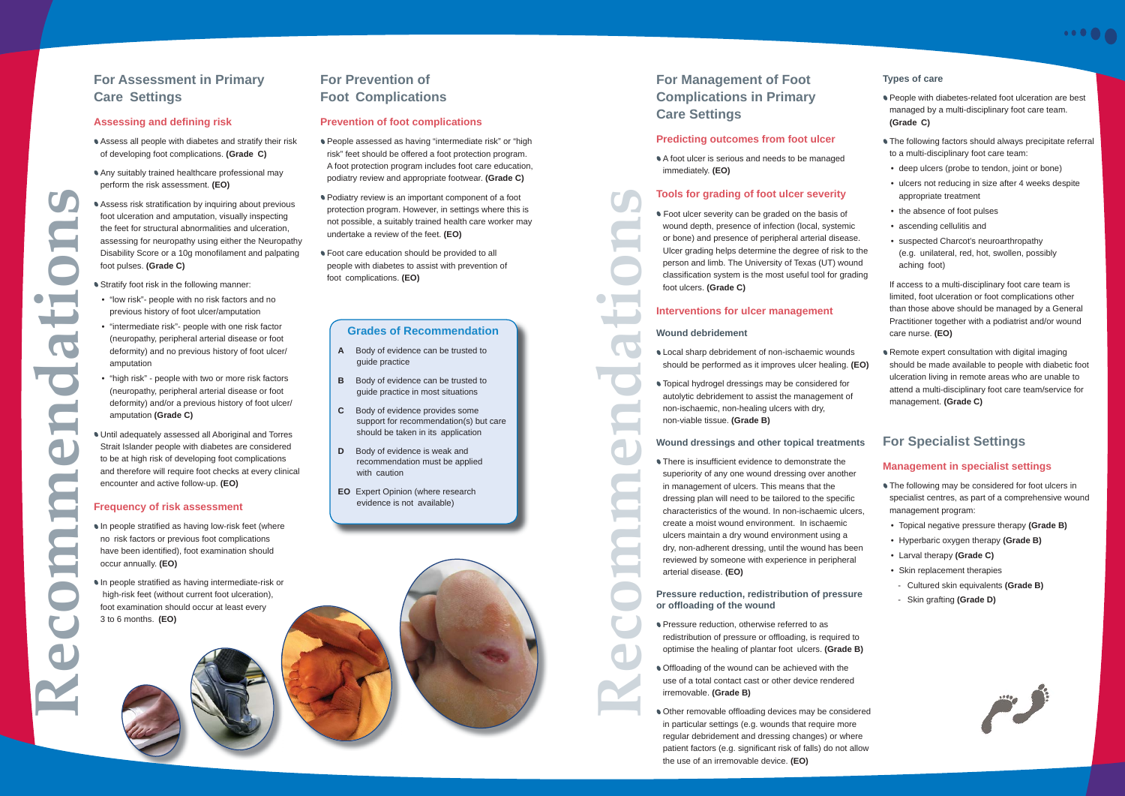## **For Management of Foot Complications in Primary Care Settings**

## **Predicting outcomes from foot ulcer**

A foot ulcer is serious and needs to be managed immediately. **(EO)**

## **Tools for grading of foot ulcer severity**

**• Foot ulcer severity can be graded on the basis of** wound depth, presence of infection (local, systemic or bone) and presence of peripheral arterial disease. Ulcer grading helps determine the degree of risk to the person and limb. The University of Texas (UT) wound classification system is the most useful tool for grading foot ulcers. **(Grade C)**

## **Interventions for ulcer management**

## **Wound debridement**

• There is insufficient evidence to demonstrate the superiority of any one wound dressing over another in management of ulcers. This means that the dressing plan will need to be tailored to the specific characteristics of the wound. In non-ischaemic ulcers, create a moist wound environment. In ischaemic ulcers maintain a dry wound environment using a dry, non-adherent dressing, until the wound has been reviewed by someone with experience in peripheral arterial disease. **(EO)**

- Local sharp debridement of non-ischaemic wounds should be performed as it improves ulcer healing. **(EO)**
- Topical hydrogel dressings may be considered for autolytic debridement to assist the management of non-ischaemic, non-healing ulcers with dry, non-viable tissue. **(Grade B)**

- **Pressure reduction, otherwise referred to as** redistribution of pressure or offloading, is required to optimise the healing of plantar foot ulcers. **(Grade B)**
- Offloading of the wound can be achieved with the use of a total contact cast or other device rendered irremovable. **(Grade B)**
- **Other removable offloading devices may be considered** in particular settings (e.g. wounds that require more regular debridement and dressing changes) or where patient factors (e.g. significant risk of falls) do not allow the use of an irremovable device. **(EO)**
- **People with diabetes-related foot ulceration are best** managed by a multi-disciplinary foot care team. **(Grade C)**
- **The following factors should always precipitate referral** to a multi-disciplinary foot care team:
- deep ulcers (probe to tendon, joint or bone)
- ulcers not reducing in size after 4 weeks despite appropriate treatment
- the absence of foot pulses
- ascending cellulitis and
- suspected Charcot's neuroarthropathy (e.g. unilateral, red, hot, swollen, possibly aching foot)

## **Pressure reduction, redistribution of pressure or offl oading of the wound**

**Remote expert consultation with digital imaging** should be made available to people with diabetic foot ulceration living in remote areas who are unable to attend a multi-disciplinary foot care team/service for management. **(Grade C)**

- 
- 
- **The following may be considered for foot ulcers in** specialist centres, as part of a comprehensive wound management program:
- Topical negative pressure therapy **(Grade B)**
- Hyperbaric oxygen therapy **(Grade B)**
- Larval therapy **(Grade C)**
- Skin replacement therapies
- Cultured skin equivalents **(Grade B)**
- Skin grafting **(Grade D)**



#### **Wound dressings and other topical treatments For Specialist Settings**

### **Types of care**

- In people stratified as having low-risk feet (where no risk factors or previous foot complications have been identified), foot examination should occur annually. **(EO)**
- In people stratified as having intermediate-risk or high-risk feet (without current foot ulceration), foot examination should occur at least every 3 to 6 months. **(EO)**

 If access to a multi-disciplinary foot care team is limited, foot ulceration or foot complications other than those above should be managed by a General Practitioner together with a podiatrist and/or wound care nurse. **(EO)**

- **People assessed as having "intermediate risk" or "high** risk" feet should be offered a foot protection program. A foot protection program includes foot care education, podiatry review and appropriate footwear. **(Grade C)**
- Podiatry review is an important component of a foot protection program. However, in settings where this is not possible, a suitably trained health care worker may undertake a review of the feet. **(EO)**
- $\bullet$  Foot care education should be provided to all people with diabetes to assist with prevention of foot complications. **(EO)**



## **Management in specialist settings**

## **For Assessment in Primary Care Settings**

## **Assessing and defi ning risk**

- Assess all people with diabetes and stratify their risk of developing foot complications. **(Grade C)**
- Any suitably trained healthcare professional may perform the risk assessment. **(EO)**
- Assess risk stratification by inquiring about previous foot ulceration and amputation, visually inspecting the feet for structural abnormalities and ulceration, assessing for neuropathy using either the Neuropathy Disability Score or a 10g monofilament and palpating foot pulses. **(Grade C)**

**Stratify foot risk in the following manner:** 

- "low risk"- people with no risk factors and no previous history of foot ulcer/amputation
- "intermediate risk"- people with one risk factor (neuropathy, peripheral arterial disease or foot deformity) and no previous history of foot ulcer/ amputation
- "high risk" people with two or more risk factors (neuropathy, peripheral arterial disease or foot deformity) and/or a previous history of foot ulcer/ amputation **(Grade C)**
- Until adequately assessed all Aboriginal and Torres Strait Islander people with diabetes are considered to be at high risk of developing foot complications and therefore will require foot checks at every clinical encounter and active follow-up. **(EO)**

## **Frequency of risk assessment**

## **For Prevention of Foot Complications**

## **Prevention of foot complications**

## **Grades of Recommendation**

- **A** Body of evidence can be trusted to guide practice
- **B** Body of evidence can be trusted to guide practice in most situations
- **C** Body of evidence provides some support for recommendation(s) but care should be taken in its application
- **D** Body of evidence is weak and recommendation must be applied with caution
- **EO** Expert Opinion (where research evidence is not available)

**Recommendations**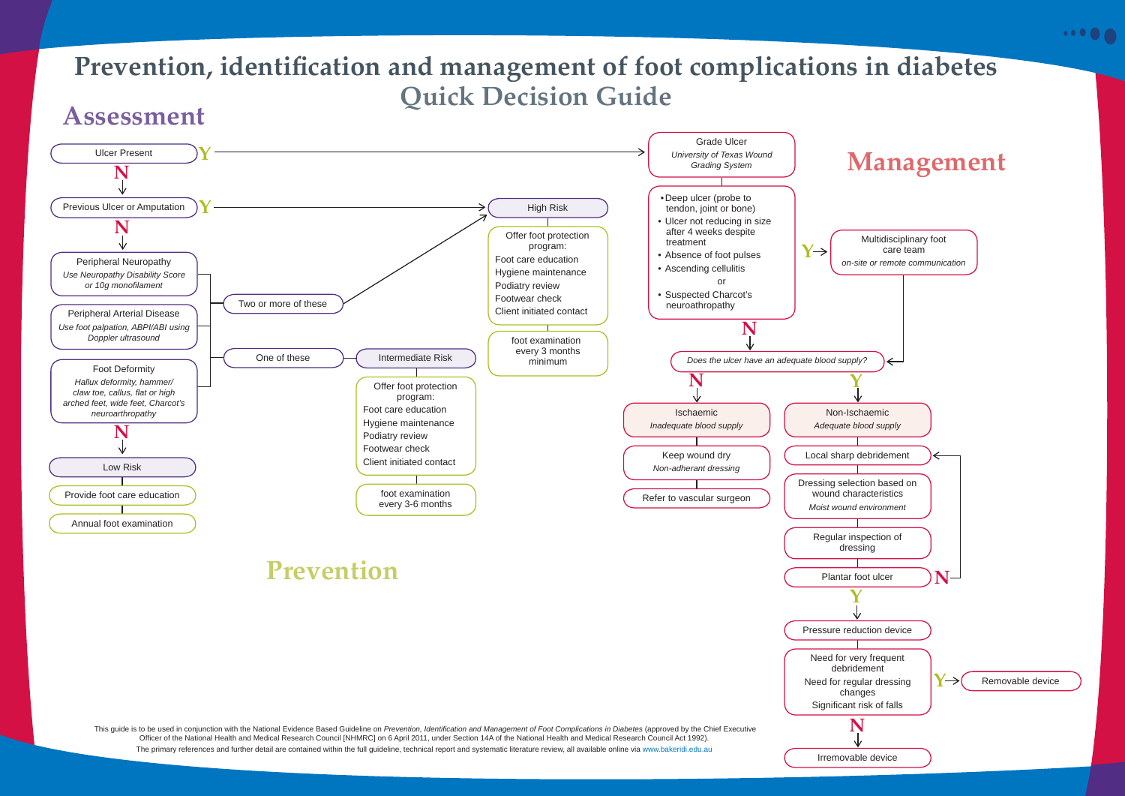# Prevention, identification and management of foot complications in diabetes **Quick Decision Guide Assessment**